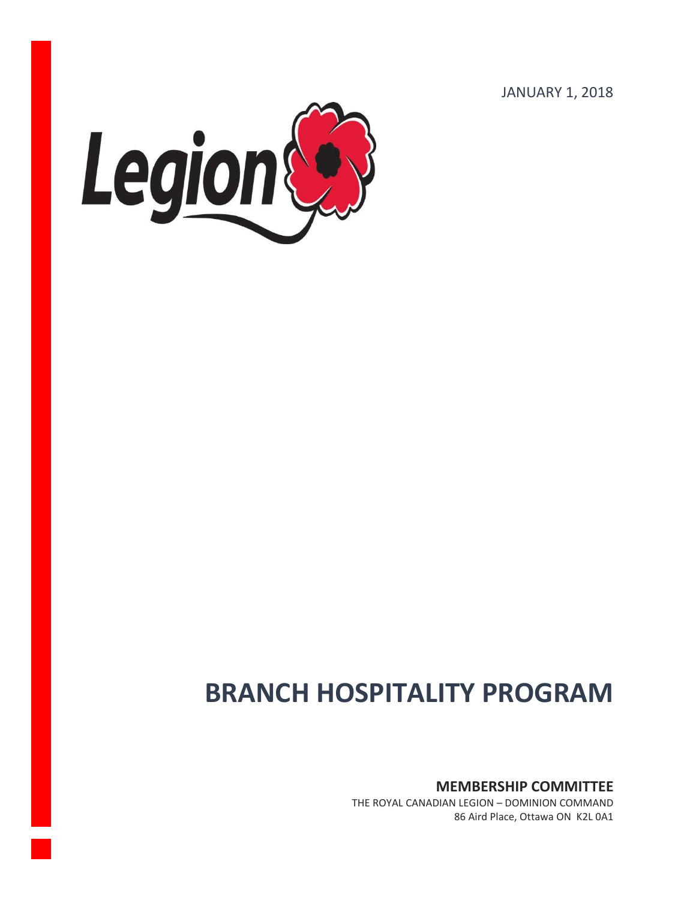JANUARY 1, 2018



# **BRANCH HOSPITALITY PROGRAM**

**MEMBERSHIP COMMITTEE**

THE ROYAL CANADIAN LEGION – DOMINION COMMAND 86 Aird Place, Ottawa ON K2L 0A1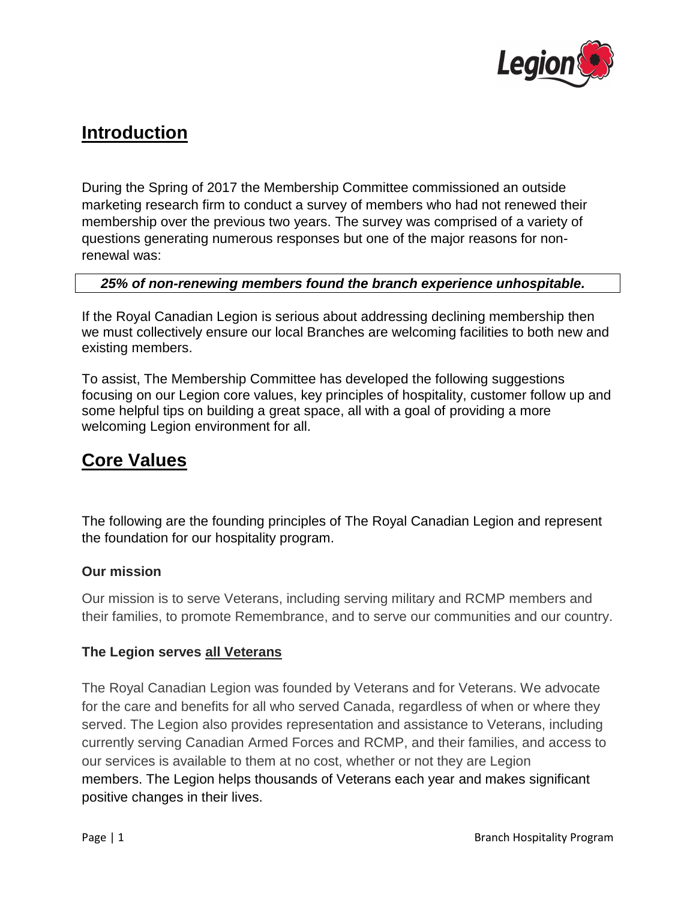

# **Introduction**

During the Spring of 2017 the Membership Committee commissioned an outside marketing research firm to conduct a survey of members who had not renewed their membership over the previous two years. The survey was comprised of a variety of questions generating numerous responses but one of the major reasons for nonrenewal was:

#### *25% of non-renewing members found the branch experience unhospitable.*

If the Royal Canadian Legion is serious about addressing declining membership then we must collectively ensure our local Branches are welcoming facilities to both new and existing members.

To assist, The Membership Committee has developed the following suggestions focusing on our Legion core values, key principles of hospitality, customer follow up and some helpful tips on building a great space, all with a goal of providing a more welcoming Legion environment for all.

## **Core Values**

The following are the founding principles of The Royal Canadian Legion and represent the foundation for our hospitality program.

#### **Our mission**

Our mission is to serve Veterans, including serving military and RCMP members and their families, to promote Remembrance, and to serve our communities and our country.

#### **The Legion serves all Veterans**

The Royal Canadian Legion was founded by Veterans and for Veterans. We advocate for the care and benefits for all who served Canada, regardless of when or where they served. The Legion also provides representation and assistance to Veterans, including currently serving Canadian Armed Forces and RCMP, and their families, and access to our services is available to them at no cost, whether or not they are Legion members. [The Legion helps thousands of Veterans each year](http://legion.ca/support-for-veterans) and makes significant positive changes in their lives.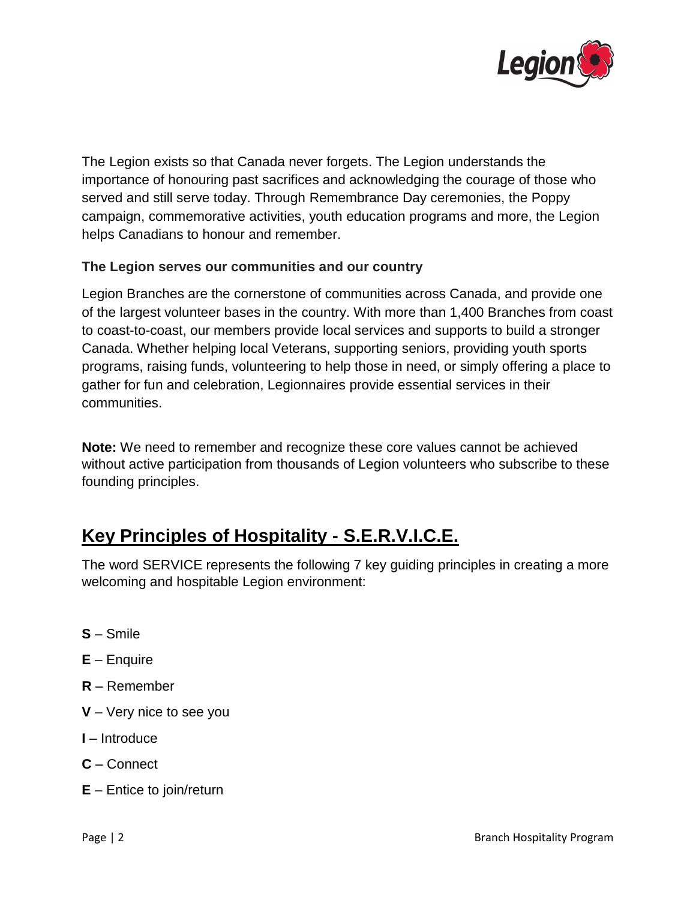

The Legion exists so that Canada never forgets. The Legion understands the importance of honouring past sacrifices and acknowledging the courage of those who served and still serve today. Through [Remembrance Day ceremonies,](http://legion.ca/remembrance/remembrance-day) the [Poppy](http://legion.ca/remembrance/the-poppy)  [campaign,](http://legion.ca/remembrance/the-poppy) [commemorative activities,](http://legion.ca/remembrance/promoting-remembrance) [youth education programs](http://legion.ca/communities-youth/youth-education) and more, the Legion helps Canadians to honour and remember.

#### **The Legion serves our communities and our country**

Legion Branches are the cornerstone of communities across Canada, and provide one of the largest volunteer bases in the country. With more than 1,400 Branches from coast to coast-to-coast, our members provide local services and supports to build a stronger Canada. Whether helping local Veterans, supporting seniors, providing youth sports programs, raising funds, volunteering to help those in need, or simply offering a place to gather for fun and celebration, Legionnaires [provide essential services in their](http://legion.ca/communities-youth)  [communities.](http://legion.ca/communities-youth)

**Note:** We need to remember and recognize these core values cannot be achieved without active participation from thousands of Legion volunteers who subscribe to these founding principles.

# **Key Principles of Hospitality - S.E.R.V.I.C.E.**

The word SERVICE represents the following 7 key guiding principles in creating a more welcoming and hospitable Legion environment:

- **S** Smile
- **E**  Enquire
- **R** Remember
- **V** Very nice to see you
- **I**  Introduce
- **C**  Connect
- **E** Entice to join/return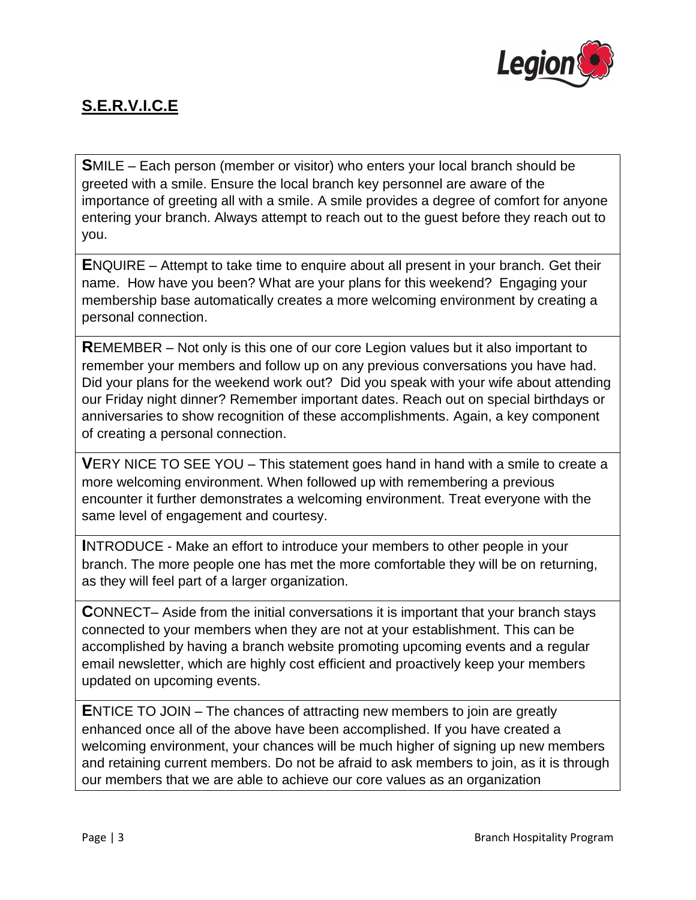

### **S.E.R.V.I.C.E**

**S**MILE – Each person (member or visitor) who enters your local branch should be greeted with a smile. Ensure the local branch key personnel are aware of the importance of greeting all with a smile. A smile provides a degree of comfort for anyone entering your branch. Always attempt to reach out to the guest before they reach out to you.

**E**NQUIRE – Attempt to take time to enquire about all present in your branch. Get their name. How have you been? What are your plans for this weekend? Engaging your membership base automatically creates a more welcoming environment by creating a personal connection.

**R**EMEMBER – Not only is this one of our core Legion values but it also important to remember your members and follow up on any previous conversations you have had. Did your plans for the weekend work out? Did you speak with your wife about attending our Friday night dinner? Remember important dates. Reach out on special birthdays or anniversaries to show recognition of these accomplishments. Again, a key component of creating a personal connection.

**V**ERY NICE TO SEE YOU – This statement goes hand in hand with a smile to create a more welcoming environment. When followed up with remembering a previous encounter it further demonstrates a welcoming environment. Treat everyone with the same level of engagement and courtesy.

**I**NTRODUCE - Make an effort to introduce your members to other people in your branch. The more people one has met the more comfortable they will be on returning, as they will feel part of a larger organization.

**C**ONNECT– Aside from the initial conversations it is important that your branch stays connected to your members when they are not at your establishment. This can be accomplished by having a branch website promoting upcoming events and a regular email newsletter, which are highly cost efficient and proactively keep your members updated on upcoming events.

**E**NTICE TO JOIN – The chances of attracting new members to join are greatly enhanced once all of the above have been accomplished. If you have created a welcoming environment, your chances will be much higher of signing up new members and retaining current members. Do not be afraid to ask members to join, as it is through our members that we are able to achieve our core values as an organization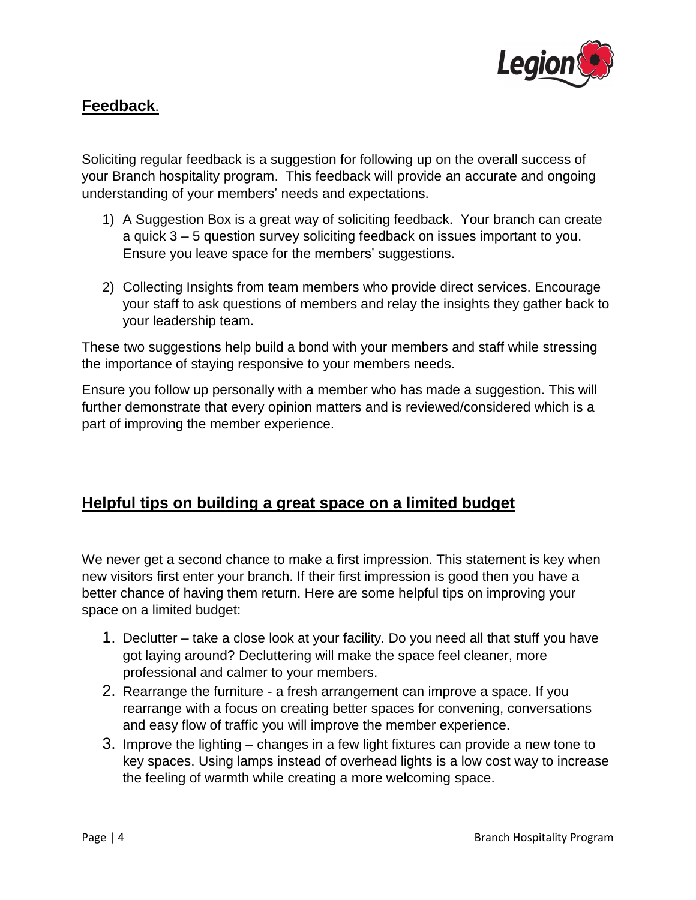

### **Feedback**.

Soliciting regular feedback is a suggestion for following up on the overall success of your Branch hospitality program. This feedback will provide an accurate and ongoing understanding of your members' needs and expectations.

- 1) A Suggestion Box is a great way of soliciting feedback. Your branch can create a quick 3 – 5 question survey soliciting feedback on issues important to you. Ensure you leave space for the members' suggestions.
- 2) Collecting Insights from team members who provide direct services. Encourage your staff to ask questions of members and relay the insights they gather back to your leadership team.

These two suggestions help build a bond with your members and staff while stressing the importance of staying responsive to your members needs.

Ensure you follow up personally with a member who has made a suggestion. This will further demonstrate that every opinion matters and is reviewed/considered which is a part of improving the member experience.

### **Helpful tips on building a great space on a limited budget**

We never get a second chance to make a first impression. This statement is key when new visitors first enter your branch. If their first impression is good then you have a better chance of having them return. Here are some helpful tips on improving your space on a limited budget:

- 1. Declutter take a close look at your facility. Do you need all that stuff you have got laying around? Decluttering will make the space feel cleaner, more professional and calmer to your members.
- 2. Rearrange the furniture a fresh arrangement can improve a space. If you rearrange with a focus on creating better spaces for convening, conversations and easy flow of traffic you will improve the member experience.
- 3. Improve the lighting changes in a few light fixtures can provide a new tone to key spaces. Using lamps instead of overhead lights is a low cost way to increase the feeling of warmth while creating a more welcoming space.